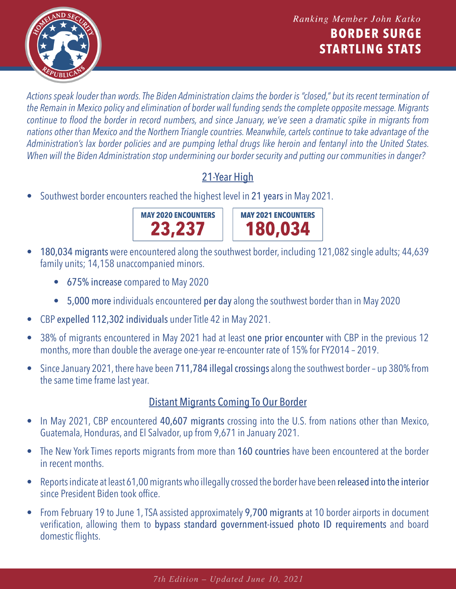

*Actions speak louder than words. The Biden Administration claims the border is "closed," but its recent termination of the Remain in Mexico policy and elimination of border wall funding sends the complete opposite message. Migrants continue to flood the border in record numbers, and since January, we've seen a dramatic spike in migrants from nations other than Mexico and the Northern Triangle countries. Meanwhile, cartels continue to take advantage of the Administration's lax border policies and are pumping lethal drugs like heroin and fentanyl into the United States. When will the Biden Administration stop undermining our border security and putting our communities in danger?*

## 21-Year High

• Southwest border encounters reached the highest level in [21 years](https://www.cbp.gov/sites/default/files/assets/documents/2020-Jan/U.S. Border Patrol Monthly Apprehensions %28FY 2000 - FY 2019%29_1.pdf) in May 2021.





- 180,034 migrants were [encountered a](https://www.cbp.gov/newsroom/stats/southwest-land-border-encounters)long the southwest border, including 121,082 single adults; 44,639 family units; 14,158 unaccompanied minors.
	- 675% increase compared to May 2020
	- 5,000 more individuals encountered per day along the southwest border than in May 2020
- CBP expelled 112,302 individuals und[er Title 42 in](https://www.cbp.gov/newsroom/national-media-release/cbp-announces-may-2021-operational-update) May 2021.
- [38% of migrants e](https://www.cbp.gov/newsroom/national-media-release/cbp-announces-may-2021-operational-update)ncountered in May 2021 had at least one prior encounter with CBP in the previous 12 months, more than double the average one-year re-encounter rate of 15% for FY2014 – 2019.
- Since [January 2021, t](https://www.cbp.gov/newsroom/stats/southwest-land-border-encounters)here have been 711,784 illegal crossings along the southwest border up 380% from the same time frame last year.

## Distant Migrants Coming To Our Border

- In May 2021, CBP encountered [40,607 migrants](https://www.cbp.gov/newsroom/stats/southwest-land-border-encounters) crossing into the U.S. from nations other than Mexico, Guatemala, Honduras, and El Salvador, up from 9,671 in January 2021.
- The New York Times [reports m](https://www.nytimes.com/2021/05/16/us/migrants-border-coronavirus-pandemic.html)igrants from more than 160 countries have been encountered at the border in recent months.
- [Reports indicate a](https://www.washingtonexaminer.com/news/more-than-61-000-released-border-biden)t least 61,00 migrants who illegally crossed the border have been released into the interior since President Biden took office.
- From February 19 to June 1, TSA assisted approximately 9,700 migrants at 10 border airports in document verification, allowing them to bypass standard government-issued photo ID requirements and board domestic flights.